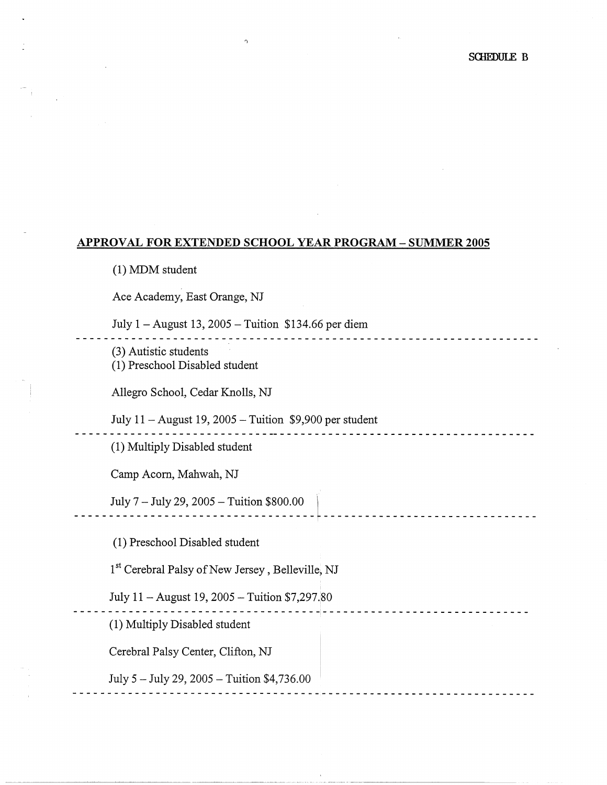## **APPROVAL FOR EXTENDED SCHOOL YEAR PROGRAM** - **SUMMER 2005**

(1) MDM student

Ace Academy, East Orange, NJ

July  $1 -$  August 13, 2005 - Tuition \$134.66 per diem

'l

(3) Autistic students

(1) Preschool Disabled student

Allegro School, Cedar Knolls, NJ

July 11 -August 19, 2005 - Tuition \$9,900 per student

(1) Multiply Disabled student

Camp Acom, Mahwah, NJ

\_\_\_\_\_ *!~1?'\_7\_* ~ :~: *\_2:~* :~~5- ~ :~~~o~-~s\_o~~o\_o \_\_ ~ \_\_\_\_\_\_\_\_\_\_\_\_\_\_\_\_\_\_\_\_\_\_\_\_\_\_\_\_\_\_ \_

(1) Preschool Disabled student

1<sup>st</sup> Cerebral Palsy of New Jersey, Belleville, NJ

- - - - - - - - - - - - - - - - - - - - - - - - - - - - - - - - - - - -1- - - - - - - - - - - - - - - - - - - - - - - - - - - - - -

July 11 - August 19, 2005 - Tuition \$7,297.80

(1) Multiply Disabled student

Cerebral Palsy Center, Clifton, NJ

July 5 - July 29, 2005 - Tuition \$4,736.00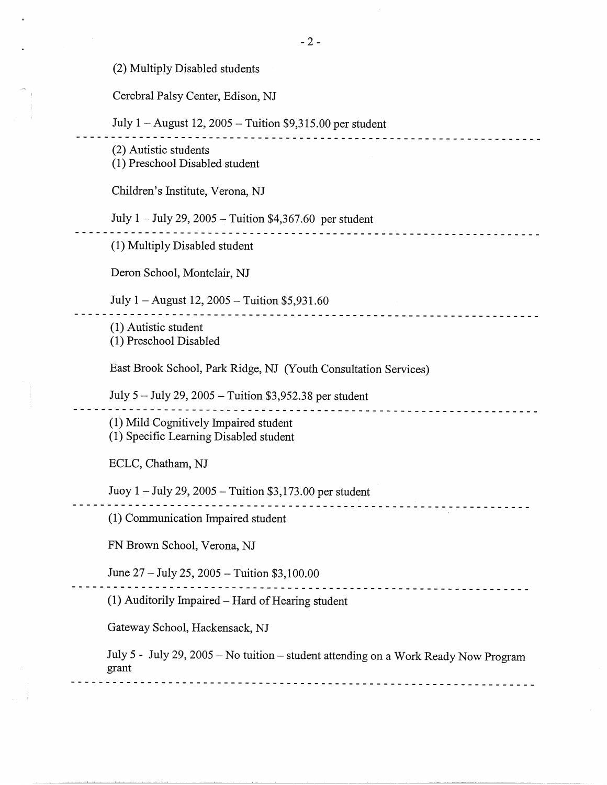(2) Multiply Disabled students

Cerebral Palsy Center, Edison, NJ

July 1 - August 12, 2005 - Tuition \$9,315.00 per student

(2) Autistic students (1) Preschool Disabled student Children's Institute, Verona, NJ July 1-July 29, 2005 -Tuition \$4,367.60 per student - - - - - - - - - - - - -- - - - - - - -- - - - - - - - - - - - - - - - - - - - - - - -- - - - -- -- - - - - - - - - - - - - - - (1) Multiply Disabled student Deron School, Montclair, NJ July  $1 -$  August 12, 2005  $-$  Tuition \$5,931.60 - - - - - - -- -- - - - - - - - - - - - - - - - - - - - - - - - - -- - -- - - -- - - - - - - - --- - - - - - - - - - - --- - (1) Autistic student (1) Preschool Disabled East Brook School, Park Ridge, NJ (Youth Consultation Services) July 5 - July 29, 2005 - Tuition \$3,952.38 per student - - - - - -- - - - -- - - - -- - - - - - - - -- - - - - - - -- - - - - -- - - - - - - - -- -- - - - - - -- - -- - - - - - - (1) Mild Cognitively Impaired student (1) Specific Learning Disabled student ECLC, Chatham, NJ Juoy 1 - July 29, 2005 - Tuition \$3,173.00 per student - - - - - - - - - - - - - - -- - - - -- - - - - - - - -- - - -- - - --- - - - - -- - - - -- - - - - -- - - - - -- - - - - (1.) Communication Impaired student FN Brown School, Verona, NJ June  $27 -$  July  $25, 2005 -$  Tuition \$3,100.00 - - - -- -- - - - - --- - - - - - -- - - - - - - - - - - - - - -- - - - -- - - - - -- - --- - - - - --- - - -- - - - - (1) Auditorily Impaired-Hard of Hearing student Gateway School, Hackensack, NJ July 5 - July 29, 2005 -No tuition- student attending on a Work Ready Now Program grant - - - - - - - - - -- - - -- - - - - - - - - -- - - - -- - - - - - - - - - - - - - - - - - - - - -- - - -- - - - - - - - - - - -

. **. . . . . . . . . . . . . . . . . .** . . . . .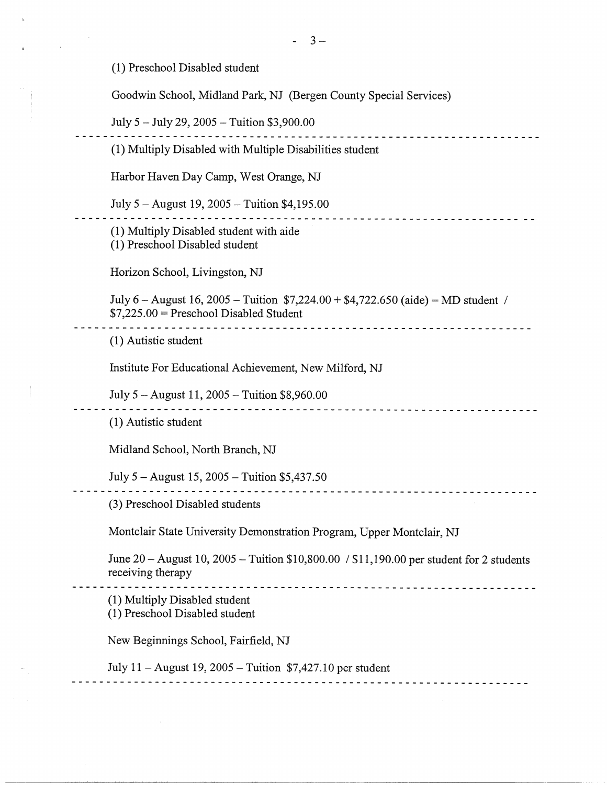(1) Preschool Disabled student

Goodwin School, Midland Park, NJ (Bergen County Special Services)

July 5 - July 29, 2005 - Tuition \$3,900.00 <u>--------------------</u> (1) Multiply Disabled with Multiple Disabilities student Harbor Haven Day Camp, West Orange, NJ July  $5 -$ August 19, 2005  $-$  Tuition \$4,195.00 (1) Multiply Disabled student with aide (1) Preschool Disabled student Horizon School, Livingston, NJ July 6 – August 16, 2005 – Tuition  $$7,224.00 + $4,722.650$  (aide) = MD student / \$7,225.00 = Preschool Disabled Student ----------------------( 1) Autistic student Institute For Educational Achievement, New Milford, NJ July 5 - August 11, 2005 - Tuition \$8,960.00 (1) Autistic student Midland School, North Branch, NJ July 5 - August 15, 2005 - Tuition \$5,437.50 (3) Preschool Disabled students Montclair State University Demonstration Program, Upper Montclair, NJ June 20 - August 10, 2005 - Tuition \$10,800.00 / \$11,190.00 per student for 2 students receiving therapy (1) Multiply Disabled student (1) Preschool Disabled student New Beginnings School, Fairfield, NJ July  $11 -$ August 19, 2005 - Tuition \$7,427.10 per student --------------------------------